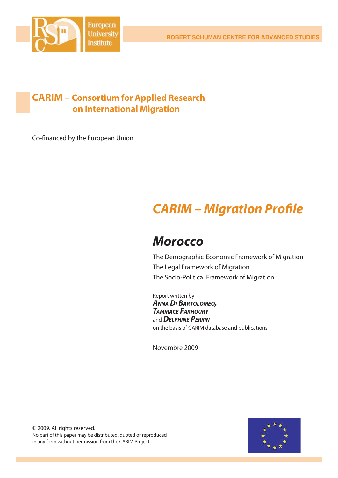

# **CARIM – Consortium for Applied Research on International Migration**

Co-financed by the European Union

# *CARIM – Migration Profi le*

# *Morocco*

The Demographic-Economic Framework of Migration The Legal Framework of Migration The Socio-Political Framework of Migration

Report written by *ANNA DI BARTOLOMEO, TAMIRACE FAKHOURY* and *DELPHINE PERRIN* on the basis of CARIM database and publications

Novembre 2009

© 2009. All rights reserved. No part of this paper may be distributed, quoted or reproduced in any form without permission from the CARIM Project.

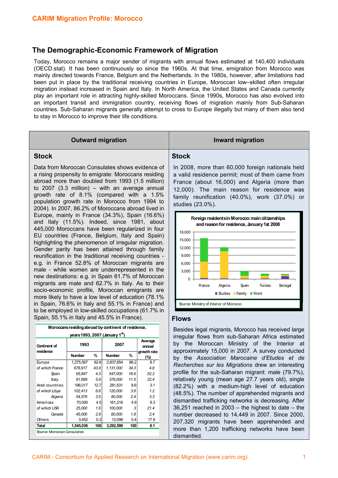### **The Demographic-Economic Framework of Migration**

Today, Morocco remains a major sender of migrants with annual flows estimated at 140,400 individuals (OECD.stat). It has been continuously so since the 1960s. At that time, emigration from Morocco was mainly directed towards France, Belgium and the Netherlands. In the 1980s, however, after limitations had been put in place by the traditional receiving countries in Europe, Moroccan low–skilled often irregular migration instead increased in Spain and Italy. In North America, the United States and Canada currently play an important role in attracting highly-skilled Moroccans. Since 1990s, Morocco has also evolved into an important transit and immigration country, receiving flows of migration mainly from Sub-Saharan countries. Sub-Saharan migrants generally attempt to cross to Europe illegally but many of them also tend to stay in Morocco to improve their life conditions.

## **Outward migration Inward migration Stock**  Data from Moroccan Consulates shows evidence of **Stock**  In 2008, more than 60,000 foreign nationals held

a rising propensity to emigrate: Moroccans residing abroad more than doubled from 1993 (1.5 million) to 2007 (3.3 million) – with an average annual growth rate of 8.1% (compared with a 1.5% population growth rate in Morocco from 1994 to 2004). In 2007, 86.2% of Moroccans abroad lived in Europe, mainly in France (34.3%), Spain (16.6%) and Italy (11.5%). Indeed, since 1981, about 445,000 Moroccans have been regularized in four EU countries (France, Belgium, Italy and Spain) highlighting the phenomenon of irregular migration. Gender parity has been attained through family reunification in the traditional receiving countries e.g. in France 52.8% of Moroccan migrants are male - while women are underrepresented in the new destinations: e.g. in Spain 61.7% of Moroccan migrants are male and 62.7% in Italy. As to their socio-economic profile, Moroccan emigrants are more likely to have a low level of education (78.1% in Spain, 76.6% in Italy and 55.1% in France) and to be employed in low-skilled occupations (61.7% in Spain, 55.1% in Italy and 45.5% in France).

| Moroccans residing abroad by continent of residence, |               |                  |               |                  |                                  |
|------------------------------------------------------|---------------|------------------|---------------|------------------|----------------------------------|
| years 1993, 2007 (January $1st$ )                    |               |                  |               |                  |                                  |
| Continent of<br>residence                            | 1993          |                  | 2007          |                  | Average<br>annual<br>growth rate |
|                                                      | <b>Number</b> | %                | <b>Number</b> | %                | (%)                              |
| Europe                                               | 1,275,567     | 82.6             | 2,837,654     | 86.2             | 8.7                              |
| of which France                                      | 678.917       | 43.9             | 1,131,000     | 34.3             | 4.8                              |
| Spain                                                | 65.847        | 4.3              | 547.000       | 16.6             | 52.2                             |
| Italy                                                | 91,699        | 5.9              | 379,000       | 11.5             | 22.4                             |
| Arab countries                                       | 196,017       | 12.7             | 281,631       | 8.6 <sup>1</sup> | 3.1                              |
| of which Libya                                       | 102.413       | 6.6              | 120,000       | 3.6              | 1.2                              |
| Algeria                                              | 54,576        | 3.5              | 80,000        | 2.4              | 3.3                              |
| Americas                                             | 70,000        | 4.5 <sup>1</sup> | 161.216       | 4.9 <sup>°</sup> | 9.3                              |
| of which USA                                         | 25,000        | 1.6              | 100,000       | 3                | 21.4                             |
| Canada                                               | 45,000        | 2.9              | 60,000        | 1.8              | 2.4                              |
| Others                                               | 3,452         | 0.21             | 12,098        | 0.41             | 17.9                             |
| Total                                                | 1,545,036     | 100              | 3,292,599     | 100              | 8.1                              |
| Source: Moroccan Consulates                          |               |                  |               |                  |                                  |

a valid residence permit; most of them came from France (about 16,000) and Algeria (more than 12,000). The main reason for residence was family reunification (40.0%), work (37.0%) or studies (23.0%).



#### **Flows**

Besides legal migrants, Morocco has received large irregular flows from sub-Saharan Africa estimated by the Moroccan Ministry of the Interior at approximately 15,000 in 2007. A survey conducted by the *Association Marocaine d'Etudes et de Recherches sur les Migrations* drew an interesting profile for the sub-Saharan migrant: male (79.7%), relatively young (mean age 27.7 years old), single (82.2%) with a medium-high level of education (48.5%). The number of apprehended migrants and dismantled trafficking networks is decreasing. After 36,251 reached in 2003 – the highest to date – the number decreased to 14,449 in 2007. Since 2000, 207,320 migrants have been apprehended and more than 1,200 trafficking networks have been dismantled.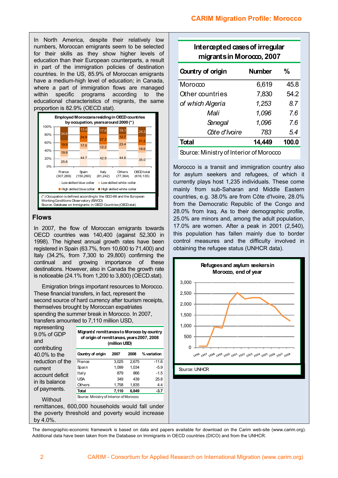In North America, despite their relatively low numbers, Moroccan emigrants seem to be selected for their skills as they show higher levels of education than their European counterparts, a result in part of the immigration policies of destination countries. In the US, 85.9% of Moroccan emigrants have a medium-high level of education; in Canada, where a part of immigration flows are managed within specific programs according to the educational characteristics of migrants, the same proportion is 82.9% (OECD.stat).



#### **Flows**

In 2007, the flow of Moroccan emigrants towards OECD countries was 140,400 (against 52,300 in 1998). The highest annual growth rates have been registered in Spain (63.7%, from 10,600 to 71,400) and Italy (34.2%, from 7,300 to 29,800) confirming the continual and growing importance of these destinations. However, also in Canada the growth rate is noticeable (24.1% from 1,200 to 3,800) (OECD.stat).

Emigration brings important resources to Morocco. These financial transfers, in fact, represent the second source of hard currency after tourism receipts, themselves brought by Moroccan expatriates spending the summer break in Morocco. In 2007, transfers amounted to 7,110 million USD,

| representing<br>9.0% of GDP<br>and<br>contributing                                                   | Migrants' remittances to Morocco by country<br>of origin of remittances, years 2007, 2008<br>(million USD) |       |       |             |
|------------------------------------------------------------------------------------------------------|------------------------------------------------------------------------------------------------------------|-------|-------|-------------|
| 40.0% to the                                                                                         | Country of origin                                                                                          | 2007  | 2008  | % variation |
| reduction of the                                                                                     | France                                                                                                     | 3.025 | 2.675 | $-11.6$     |
| current                                                                                              | Spain                                                                                                      | 1.099 | 1.034 | $-5.9$      |
| account deficit                                                                                      | ltaly                                                                                                      | 879   | 866   | $-1.5$      |
| in its balance<br>of payments.                                                                       | USA                                                                                                        | 349   | 439   | 25.8        |
|                                                                                                      | Others                                                                                                     | 1,758 | 1,835 | 4.4         |
|                                                                                                      | Total                                                                                                      | 7,110 | 6.849 | $-3.7$      |
| Source: Ministry of Interior of Morocco<br>Without                                                   |                                                                                                            |       |       |             |
| remittances, 600,000 households would fall under<br>the poverty threshold and poverty would increase |                                                                                                            |       |       |             |

| Intercepted cases of irregular<br>migrants in Morocco, $2007$ |       |  |  |
|---------------------------------------------------------------|-------|--|--|
| <b>Number</b>                                                 | ℀     |  |  |
| 6,619                                                         | 45.8  |  |  |
| 7,830                                                         | 54.2  |  |  |
| 1,253                                                         | 8.7   |  |  |
| 1,096                                                         | 76    |  |  |
| 1,096                                                         | 76    |  |  |
| 783                                                           | 5.4   |  |  |
| 14,449                                                        | 100.0 |  |  |
|                                                               |       |  |  |

Source: Ministry of Interior of Morocco

Morocco is a transit and immigration country also for asylum seekers and refugees, of which it currently plays host 1,235 individuals. These come mainly from sub-Saharan and Middle Eastern countries, e.g. 38.0% are from Côte d'Ivoire, 28.0% from the Democratic Republic of the Congo and 28.0% from Iraq. As to their demographic profile, 25.0% are minors and, among the adult population, 17.0% are women. After a peak in 2001 (2,540), this population has fallen mainly due to border control measures and the difficulty involved in obtaining the refugee status (UNHCR data).



The demographic-economic framework is based on data and papers available for download on the Carim web-site (www.carim.org). Additional data have been taken from the Database on Immigrants in OECD countries (DICO) and from the UNHCR.

by 4.0%.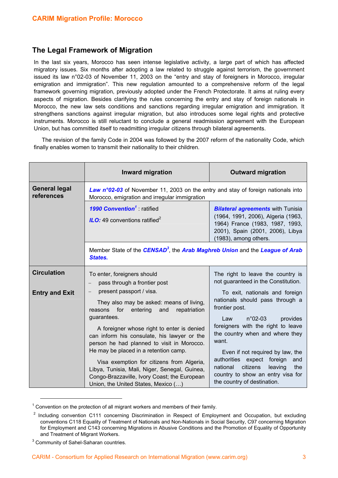### **The Legal Framework of Migration**

In the last six years, Morocco has seen intense legislative activity, a large part of which has affected migratory issues. Six months after adopting a law related to struggle against terrorism, the government issued its law n°02-03 of November 11, 2003 on the "entry and stay of foreigners in Morocco, irregular emigration and immigration". This new regulation amounted to a comprehensive reform of the legal framework governing migration, previously adopted under the French Protectorate. It aims at ruling every aspects of migration. Besides clarifying the rules concerning the entry and stay of foreign nationals in Morocco, the new law sets conditions and sanctions regarding irregular emigration and immigration. It strengthens sanctions against irregular migration, but also introduces some legal rights and protective instruments. Morocco is still reluctant to conclude a general readmission agreement with the European Union, but has committed itself to readmitting irregular citizens through bilateral agreements.

The revision of the family Code in 2004 was followed by the 2007 reform of the nationality Code, which finally enables women to transmit their nationality to their children.

|                                    | Inward migration                                                                                                                                                                                                                                                                                                        | <b>Outward migration</b>                                                                                                                                                                             |  |  |
|------------------------------------|-------------------------------------------------------------------------------------------------------------------------------------------------------------------------------------------------------------------------------------------------------------------------------------------------------------------------|------------------------------------------------------------------------------------------------------------------------------------------------------------------------------------------------------|--|--|
| <b>General legal</b><br>references | Law n°02-03 of November 11, 2003 on the entry and stay of foreign nationals into<br>Morocco, emigration and irregular immigration                                                                                                                                                                                       |                                                                                                                                                                                                      |  |  |
|                                    | 1990 Convention <sup>1</sup> : ratified<br><b>ILO:</b> 49 conventions ratified <sup>2</sup>                                                                                                                                                                                                                             | <b>Bilateral agreements with Tunisia</b><br>(1964, 1991, 2006), Algeria (1963,<br>1964) France (1983, 1987, 1993,<br>2001), Spain (2001, 2006), Libya<br>(1983), among others.                       |  |  |
|                                    | Member State of the CENSAD <sup>3</sup> , the Arab Maghreb Union and the League of Arab<br>States.                                                                                                                                                                                                                      |                                                                                                                                                                                                      |  |  |
| <b>Circulation</b>                 | To enter, foreigners should<br>pass through a frontier post                                                                                                                                                                                                                                                             | The right to leave the country is<br>not guaranteed in the Constitution.                                                                                                                             |  |  |
| <b>Entry and Exit</b>              | present passport / visa.<br>$\overline{\phantom{m}}$<br>They also may be asked: means of living,<br>reasons for<br>entering<br>repatriation<br>and<br>guarantees.<br>A foreigner whose right to enter is denied                                                                                                         | To exit, nationals and foreign<br>nationals should pass through a<br>frontier post.<br>$n^{\circ}$ 02-03<br>Law<br>provides<br>foreigners with the right to leave<br>the country when and where they |  |  |
|                                    | can inform his consulate, his lawyer or the<br>person he had planned to visit in Morocco.<br>He may be placed in a retention camp.<br>Visa exemption for citizens from Algeria,<br>Libya, Tunisia, Mali, Niger, Senegal, Guinea,<br>Congo-Brazzaville, Ivory Coast; the European<br>Union, the United States, Mexico () | want.<br>Even if not required by law, the<br>authorities expect foreign<br>and<br>leaving<br>national<br>citizens<br>the<br>country to show an entry visa for<br>the country of destination.         |  |  |

 $1$  Convention on the protection of all migrant workers and members of their family.

 $\overline{a}$ 

 $2$  Including convention C111 concerning Discrimination in Respect of Employment and Occupation, but excluding conventions C118 Equality of Treatment of Nationals and Non-Nationals in Social Security, C97 concerning Migration for Employment and C143 concerning Migrations in Abusive Conditions and the Promotion of Equality of Opportunity and Treatment of Migrant Workers.

<sup>&</sup>lt;sup>3</sup> Community of Sahel-Saharan countries.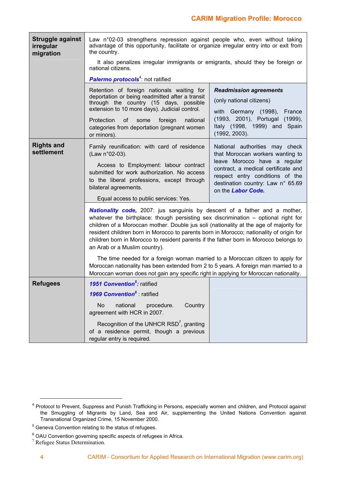| Struggle against<br>irregular<br>migration | Law n°02-03 strengthens repression against people who, even without taking<br>advantage of this opportunity, facilitate or organize irregular entry into or exit from<br>the country.                                                                                                                                                                                                                                                                                                                                                                                                                             |                                                                                                                                                                                                                                         |  |
|--------------------------------------------|-------------------------------------------------------------------------------------------------------------------------------------------------------------------------------------------------------------------------------------------------------------------------------------------------------------------------------------------------------------------------------------------------------------------------------------------------------------------------------------------------------------------------------------------------------------------------------------------------------------------|-----------------------------------------------------------------------------------------------------------------------------------------------------------------------------------------------------------------------------------------|--|
|                                            | It also penalizes irregular immigrants or emigrants, should they be foreign or<br>national citizens.                                                                                                                                                                                                                                                                                                                                                                                                                                                                                                              |                                                                                                                                                                                                                                         |  |
|                                            | <b>Palermo protocols</b> <sup>4</sup> : not ratified                                                                                                                                                                                                                                                                                                                                                                                                                                                                                                                                                              |                                                                                                                                                                                                                                         |  |
|                                            | Retention of foreign nationals waiting for<br>deportation or being readmitted after a transit<br>through the country (15 days, possible<br>extension to 10 more days). Judicial control.                                                                                                                                                                                                                                                                                                                                                                                                                          | <b>Readmission agreements</b><br>(only national citizens)<br>with Germany (1998),<br>France                                                                                                                                             |  |
|                                            | Protection<br>national<br>of<br>some<br>foreign<br>categories from deportation (pregnant women<br>or minors).                                                                                                                                                                                                                                                                                                                                                                                                                                                                                                     | (1993, 2001), Portugal (1999),<br>Italy (1998, 1999) and<br>Spain<br>(1992, 2003).                                                                                                                                                      |  |
| <b>Rights and</b><br>settlement            | Family reunification: with card of residence<br>(Law n°02-03).<br>Access to Employment: labour contract<br>submitted for work authorization. No access<br>to the liberal professions, except through<br>bilateral agreements.                                                                                                                                                                                                                                                                                                                                                                                     | National authorities may check<br>that Moroccan workers wanting to<br>leave Morocco have a regular<br>contract, a medical certificate and<br>respect entry conditions of the<br>destination country: Law n° 65.69<br>on the Labor Code. |  |
|                                            | Equal access to public services: Yes.<br><b>Nationality code,</b> 2007: jus sanguinis by descent of a father and a mother,<br>whatever the birthplace: though persisting sex discrimination – optional right for<br>children of a Moroccan mother. Double jus soli (nationality at the age of majority for<br>resident children born in Morocco to parents born in Morocco; nationality of origin for<br>children born in Morocco to resident parents if the father born in Morocco belongs to<br>an Arab or a Muslim country).<br>The time needed for a foreign woman married to a Moroccan citizen to apply for |                                                                                                                                                                                                                                         |  |
|                                            | Moroccan nationality has been extended from 2 to 5 years. A foreign man married to a<br>Moroccan woman does not gain any specific right in applying for Moroccan nationality.                                                                                                                                                                                                                                                                                                                                                                                                                                     |                                                                                                                                                                                                                                         |  |
| <b>Refugees</b>                            | <b>1951 Convention<sup>5</sup></b> : ratified                                                                                                                                                                                                                                                                                                                                                                                                                                                                                                                                                                     |                                                                                                                                                                                                                                         |  |
|                                            | <b>1969 Convention</b> <sup>6</sup> ratified                                                                                                                                                                                                                                                                                                                                                                                                                                                                                                                                                                      |                                                                                                                                                                                                                                         |  |
|                                            | national<br><b>No</b><br>Country<br>procedure.<br>agreement with HCR in 2007.                                                                                                                                                                                                                                                                                                                                                                                                                                                                                                                                     |                                                                                                                                                                                                                                         |  |
|                                            | Recognition of the UNHCR $RSD7$ , granting<br>of a residence permit, though a previous<br>regular entry is required.                                                                                                                                                                                                                                                                                                                                                                                                                                                                                              |                                                                                                                                                                                                                                         |  |

<sup>&</sup>lt;sup>4</sup> Protocol to Prevent, Suppress and Punish Trafficking in Persons, especially women and children, and Protocol against the Smuggling of Migrants by Land, Sea and Air, supplementing the United Nations Convention against Transnational Organized Crime, 15 November 2000.

 $5$  Geneva Convention relating to the status of refugees.

 $^6$  OAU Convention governing specific aspects of refugees in Africa.<br>7 Refugee Status Determination

<sup>&</sup>lt;sup>7</sup> Refugee Status Determination.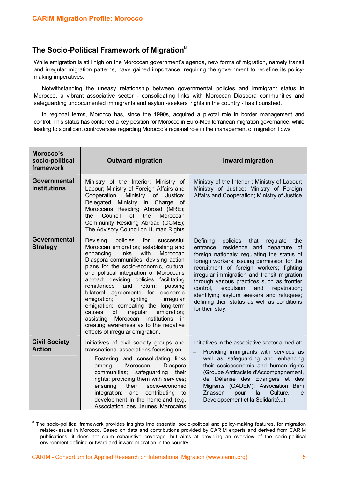## **The Socio-Political Framework of Migration8**

While emigration is still high on the Moroccan government's agenda, new forms of migration, namely transit and irregular migration patterns, have gained importance, requiring the government to redefine its policymaking imperatives.

Notwithstanding the uneasy relationship between governmental policies and immigrant status in Morocco, a vibrant associative sector - consolidating links with Moroccan Diaspora communities and safeguarding undocumented immigrants and asylum-seekers' rights in the country - has flourished.

In regional terms, Morocco has, since the 1990s, acquired a pivotal role in border management and control. This status has conferred a key position for Morocco in Euro-Mediterranean migration governance, while leading to significant controversies regarding Morocco's regional role in the management of migration flows.

| Morocco's<br>socio-political<br>framework | <b>Outward migration</b>                                                                                                                                                                                                                                                                                                                                                                                                                                                                                                                                                                                                                       | <b>Inward migration</b>                                                                                                                                                                                                                                                                                                                                                                                                                                                                       |
|-------------------------------------------|------------------------------------------------------------------------------------------------------------------------------------------------------------------------------------------------------------------------------------------------------------------------------------------------------------------------------------------------------------------------------------------------------------------------------------------------------------------------------------------------------------------------------------------------------------------------------------------------------------------------------------------------|-----------------------------------------------------------------------------------------------------------------------------------------------------------------------------------------------------------------------------------------------------------------------------------------------------------------------------------------------------------------------------------------------------------------------------------------------------------------------------------------------|
| Governmental<br><b>Institutions</b>       | Ministry of the Interior; Ministry of<br>Labour; Ministry of Foreign Affairs and<br>Cooperation;<br>Ministry of<br>Justice;<br>Delegated Ministry in Charge of<br>Moroccans Residing Abroad (MRE);<br>of<br>Council<br>the<br>Moroccan<br>the<br>Community Residing Abroad (CCME);<br>The Advisory Council on Human Rights                                                                                                                                                                                                                                                                                                                     | Ministry of the Interior; Ministry of Labour;<br>Ministry of Justice; Ministry of Foreign<br>Affairs and Cooperation; Ministry of Justice                                                                                                                                                                                                                                                                                                                                                     |
| <b>Governmental</b><br><b>Strategy</b>    | policies<br>for<br>Devising<br>successful<br>Moroccan emigration; establishing and<br>enhancing<br>links<br>with<br>Moroccan<br>Diaspora communities; devising action<br>plans for the socio-economic, cultural<br>and political integration of Moroccans<br>abroad; devising policies facilitating<br>remittances<br>and<br>return;<br>passing<br>bilateral agreements for<br>economic<br>emigration;<br>fighting<br>irregular<br>emigration; combating the long-term<br>emigration;<br>irregular<br>causes<br>of<br>institutions<br>assisting<br>Moroccan<br>in<br>creating awareness as to the negative<br>effects of irregular emigration. | Defining<br>policies<br>that<br>regulate<br>the<br>entrance, residence and departure of<br>foreign nationals; regulating the status of<br>foreign workers; issuing permission for the<br>recruitment of foreign workers; fighting<br>irregular immigration and transit migration<br>through various practices such as frontier<br>control.<br>expulsion<br>and<br>repatriation;<br>identifying asylum seekers and refugees;<br>defining their status as well as conditions<br>for their stay. |
| <b>Civil Society</b><br><b>Action</b>     | Initiatives of civil society groups and<br>transnational associations focusing on:<br>Fostering and consolidating links<br>Moroccan<br>among<br>Diaspora<br>communities;<br>safeguarding<br>their<br>rights; providing them with services;<br>their<br>ensuring<br>socio-economic<br>integration; and contributing<br>to<br>development in the homeland (e.g.<br>Association des Jeunes Marocains                                                                                                                                                                                                                                              | Initiatives in the associative sector aimed at:<br>Providing immigrants with services as<br>well as safeguarding and enhancing<br>their socioeconomic and human rights<br>(Groupe Antiraciste d'Accompagnement,<br>de Défense des Etrangers et des<br>Migrants (GADEM); Association Beni<br>Znassen<br>la<br>Culture,<br>pour<br>le<br>Développement et la Solidarité);                                                                                                                       |

<sup>&</sup>lt;sup>8</sup> The socio-political framework provides insights into essential socio-political and policy-making features, for migration related-issues in Morocco. Based on data and contributions provided by CARIM experts and derived from CARIM publications, it does not claim exhaustive coverage, but aims at providing an overview of the socio-political environment defining outward and inward migration in the country.

 $\overline{a}$